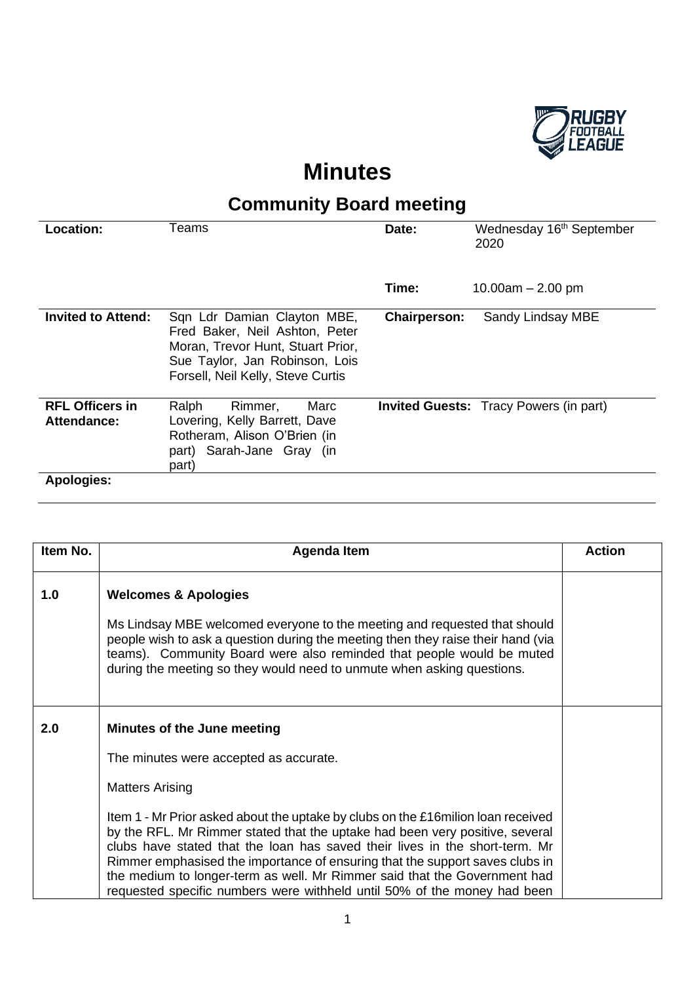

## **Minutes**

## **Community Board meeting**

| <b>Location:</b>                      | Teams                                                                                                                                                                     | Date:               | Wednesday 16 <sup>th</sup> September<br>2020  |
|---------------------------------------|---------------------------------------------------------------------------------------------------------------------------------------------------------------------------|---------------------|-----------------------------------------------|
|                                       |                                                                                                                                                                           | Time:               | 10.00am $-$ 2.00 pm                           |
| <b>Invited to Attend:</b>             | Sqn Ldr Damian Clayton MBE,<br>Fred Baker, Neil Ashton, Peter<br>Moran, Trevor Hunt, Stuart Prior,<br>Sue Taylor, Jan Robinson, Lois<br>Forsell, Neil Kelly, Steve Curtis | <b>Chairperson:</b> | Sandy Lindsay MBE                             |
| <b>RFL Officers in</b><br>Attendance: | Marc<br>Rimmer,<br>Ralph<br>Lovering, Kelly Barrett, Dave<br>Rotheram, Alison O'Brien (in<br>part) Sarah-Jane Gray (in<br>part)                                           |                     | <b>Invited Guests:</b> Tracy Powers (in part) |
| <b>Apologies:</b>                     |                                                                                                                                                                           |                     |                                               |

| Item No. | Agenda Item                                                                                                                                                                                                                                                                                                                                                                                                                                                                               | <b>Action</b> |
|----------|-------------------------------------------------------------------------------------------------------------------------------------------------------------------------------------------------------------------------------------------------------------------------------------------------------------------------------------------------------------------------------------------------------------------------------------------------------------------------------------------|---------------|
| 1.0      | <b>Welcomes &amp; Apologies</b><br>Ms Lindsay MBE welcomed everyone to the meeting and requested that should<br>people wish to ask a question during the meeting then they raise their hand (via<br>teams). Community Board were also reminded that people would be muted<br>during the meeting so they would need to unmute when asking questions.                                                                                                                                       |               |
| 2.0      | Minutes of the June meeting<br>The minutes were accepted as accurate.<br><b>Matters Arising</b>                                                                                                                                                                                                                                                                                                                                                                                           |               |
|          | Item 1 - Mr Prior asked about the uptake by clubs on the £16 milion loan received<br>by the RFL. Mr Rimmer stated that the uptake had been very positive, several<br>clubs have stated that the loan has saved their lives in the short-term. Mr<br>Rimmer emphasised the importance of ensuring that the support saves clubs in<br>the medium to longer-term as well. Mr Rimmer said that the Government had<br>requested specific numbers were withheld until 50% of the money had been |               |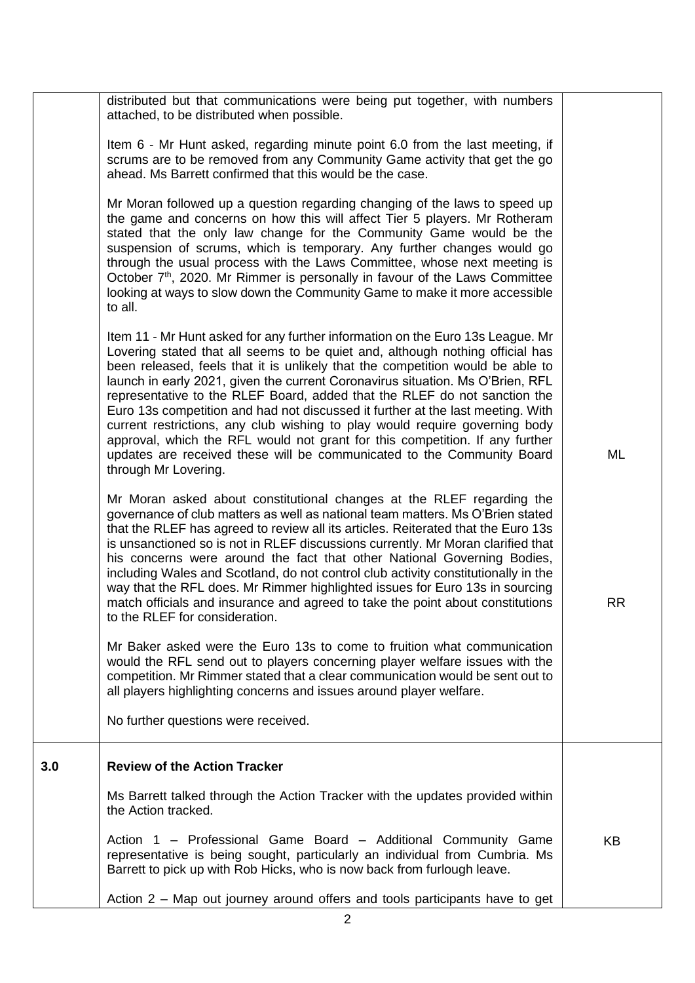|     | distributed but that communications were being put together, with numbers<br>attached, to be distributed when possible.<br>Item 6 - Mr Hunt asked, regarding minute point 6.0 from the last meeting, if<br>scrums are to be removed from any Community Game activity that get the go<br>ahead. Ms Barrett confirmed that this would be the case.<br>Mr Moran followed up a question regarding changing of the laws to speed up<br>the game and concerns on how this will affect Tier 5 players. Mr Rotheram<br>stated that the only law change for the Community Game would be the<br>suspension of scrums, which is temporary. Any further changes would go<br>through the usual process with the Laws Committee, whose next meeting is<br>October 7 <sup>th</sup> , 2020. Mr Rimmer is personally in favour of the Laws Committee<br>looking at ways to slow down the Community Game to make it more accessible<br>to all.<br>Item 11 - Mr Hunt asked for any further information on the Euro 13s League. Mr<br>Lovering stated that all seems to be quiet and, although nothing official has<br>been released, feels that it is unlikely that the competition would be able to<br>launch in early 2021, given the current Coronavirus situation. Ms O'Brien, RFL<br>representative to the RLEF Board, added that the RLEF do not sanction the<br>Euro 13s competition and had not discussed it further at the last meeting. With<br>current restrictions, any club wishing to play would require governing body<br>approval, which the RFL would not grant for this competition. If any further<br>updates are received these will be communicated to the Community Board<br>through Mr Lovering.<br>Mr Moran asked about constitutional changes at the RLEF regarding the | ML |
|-----|-------------------------------------------------------------------------------------------------------------------------------------------------------------------------------------------------------------------------------------------------------------------------------------------------------------------------------------------------------------------------------------------------------------------------------------------------------------------------------------------------------------------------------------------------------------------------------------------------------------------------------------------------------------------------------------------------------------------------------------------------------------------------------------------------------------------------------------------------------------------------------------------------------------------------------------------------------------------------------------------------------------------------------------------------------------------------------------------------------------------------------------------------------------------------------------------------------------------------------------------------------------------------------------------------------------------------------------------------------------------------------------------------------------------------------------------------------------------------------------------------------------------------------------------------------------------------------------------------------------------------------------------------------------------------------------------------------------------------------------------------------------------------------|----|
|     | governance of club matters as well as national team matters. Ms O'Brien stated<br>that the RLEF has agreed to review all its articles. Reiterated that the Euro 13s<br>is unsanctioned so is not in RLEF discussions currently. Mr Moran clarified that<br>his concerns were around the fact that other National Governing Bodies,<br>including Wales and Scotland, do not control club activity constitutionally in the<br>way that the RFL does. Mr Rimmer highlighted issues for Euro 13s in sourcing<br>match officials and insurance and agreed to take the point about constitutions<br>to the RLEF for consideration.                                                                                                                                                                                                                                                                                                                                                                                                                                                                                                                                                                                                                                                                                                                                                                                                                                                                                                                                                                                                                                                                                                                                                  | RR |
|     | Mr Baker asked were the Euro 13s to come to fruition what communication<br>would the RFL send out to players concerning player welfare issues with the<br>competition. Mr Rimmer stated that a clear communication would be sent out to<br>all players highlighting concerns and issues around player welfare.<br>No further questions were received.                                                                                                                                                                                                                                                                                                                                                                                                                                                                                                                                                                                                                                                                                                                                                                                                                                                                                                                                                                                                                                                                                                                                                                                                                                                                                                                                                                                                                         |    |
| 3.0 | <b>Review of the Action Tracker</b>                                                                                                                                                                                                                                                                                                                                                                                                                                                                                                                                                                                                                                                                                                                                                                                                                                                                                                                                                                                                                                                                                                                                                                                                                                                                                                                                                                                                                                                                                                                                                                                                                                                                                                                                           |    |
|     | Ms Barrett talked through the Action Tracker with the updates provided within<br>the Action tracked.                                                                                                                                                                                                                                                                                                                                                                                                                                                                                                                                                                                                                                                                                                                                                                                                                                                                                                                                                                                                                                                                                                                                                                                                                                                                                                                                                                                                                                                                                                                                                                                                                                                                          |    |
|     | Action 1 – Professional Game Board – Additional Community Game<br>representative is being sought, particularly an individual from Cumbria. Ms<br>Barrett to pick up with Rob Hicks, who is now back from furlough leave.                                                                                                                                                                                                                                                                                                                                                                                                                                                                                                                                                                                                                                                                                                                                                                                                                                                                                                                                                                                                                                                                                                                                                                                                                                                                                                                                                                                                                                                                                                                                                      | KB |
|     | Action 2 – Map out journey around offers and tools participants have to get                                                                                                                                                                                                                                                                                                                                                                                                                                                                                                                                                                                                                                                                                                                                                                                                                                                                                                                                                                                                                                                                                                                                                                                                                                                                                                                                                                                                                                                                                                                                                                                                                                                                                                   |    |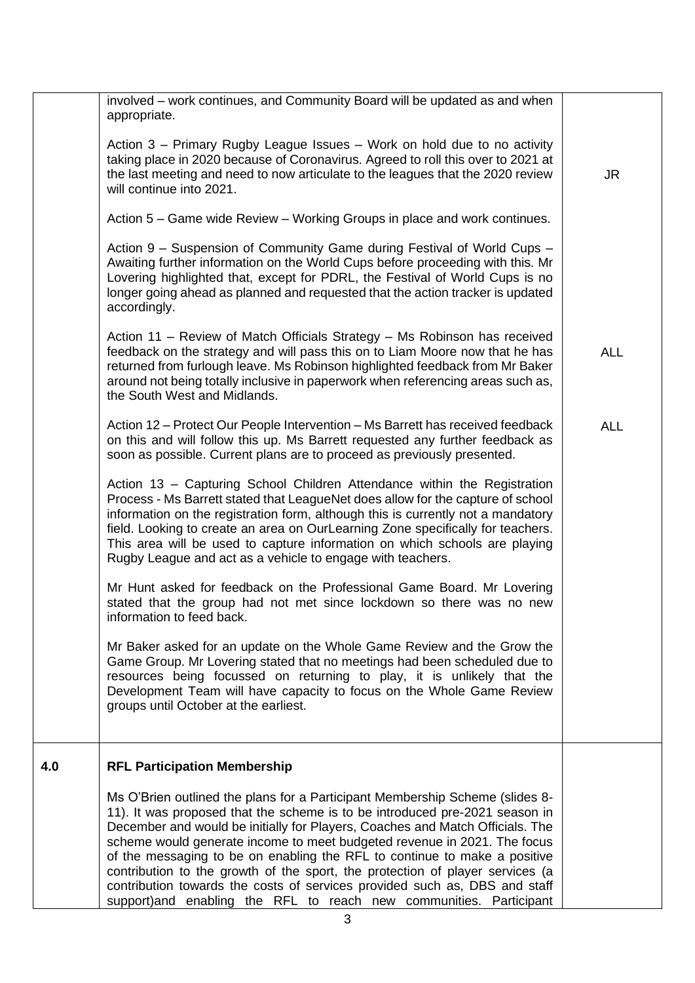|     | involved – work continues, and Community Board will be updated as and when<br>appropriate.                                                                                                                                                                                                                                                                                                                                                                                                                                                                                                                                                 |            |
|-----|--------------------------------------------------------------------------------------------------------------------------------------------------------------------------------------------------------------------------------------------------------------------------------------------------------------------------------------------------------------------------------------------------------------------------------------------------------------------------------------------------------------------------------------------------------------------------------------------------------------------------------------------|------------|
|     | Action 3 – Primary Rugby League Issues – Work on hold due to no activity<br>taking place in 2020 because of Coronavirus. Agreed to roll this over to 2021 at<br>the last meeting and need to now articulate to the leagues that the 2020 review<br>will continue into 2021.                                                                                                                                                                                                                                                                                                                                                                | JR.        |
|     | Action 5 – Game wide Review – Working Groups in place and work continues.                                                                                                                                                                                                                                                                                                                                                                                                                                                                                                                                                                  |            |
|     | Action 9 – Suspension of Community Game during Festival of World Cups –<br>Awaiting further information on the World Cups before proceeding with this. Mr<br>Lovering highlighted that, except for PDRL, the Festival of World Cups is no<br>longer going ahead as planned and requested that the action tracker is updated<br>accordingly.                                                                                                                                                                                                                                                                                                |            |
|     | Action 11 - Review of Match Officials Strategy - Ms Robinson has received<br>feedback on the strategy and will pass this on to Liam Moore now that he has<br>returned from furlough leave. Ms Robinson highlighted feedback from Mr Baker<br>around not being totally inclusive in paperwork when referencing areas such as,<br>the South West and Midlands.                                                                                                                                                                                                                                                                               | <b>ALL</b> |
|     | Action 12 – Protect Our People Intervention – Ms Barrett has received feedback<br>on this and will follow this up. Ms Barrett requested any further feedback as<br>soon as possible. Current plans are to proceed as previously presented.                                                                                                                                                                                                                                                                                                                                                                                                 | <b>ALL</b> |
|     | Action 13 - Capturing School Children Attendance within the Registration<br>Process - Ms Barrett stated that LeagueNet does allow for the capture of school<br>information on the registration form, although this is currently not a mandatory<br>field. Looking to create an area on OurLearning Zone specifically for teachers.<br>This area will be used to capture information on which schools are playing<br>Rugby League and act as a vehicle to engage with teachers.                                                                                                                                                             |            |
|     | Mr Hunt asked for feedback on the Professional Game Board. Mr Lovering<br>stated that the group had not met since lockdown so there was no new<br>information to feed back.                                                                                                                                                                                                                                                                                                                                                                                                                                                                |            |
|     | Mr Baker asked for an update on the Whole Game Review and the Grow the<br>Game Group. Mr Lovering stated that no meetings had been scheduled due to<br>resources being focussed on returning to play, it is unlikely that the<br>Development Team will have capacity to focus on the Whole Game Review<br>groups until October at the earliest.                                                                                                                                                                                                                                                                                            |            |
| 4.0 | <b>RFL Participation Membership</b>                                                                                                                                                                                                                                                                                                                                                                                                                                                                                                                                                                                                        |            |
|     | Ms O'Brien outlined the plans for a Participant Membership Scheme (slides 8-<br>11). It was proposed that the scheme is to be introduced pre-2021 season in<br>December and would be initially for Players, Coaches and Match Officials. The<br>scheme would generate income to meet budgeted revenue in 2021. The focus<br>of the messaging to be on enabling the RFL to continue to make a positive<br>contribution to the growth of the sport, the protection of player services (a<br>contribution towards the costs of services provided such as, DBS and staff<br>support)and enabling the RFL to reach new communities. Participant |            |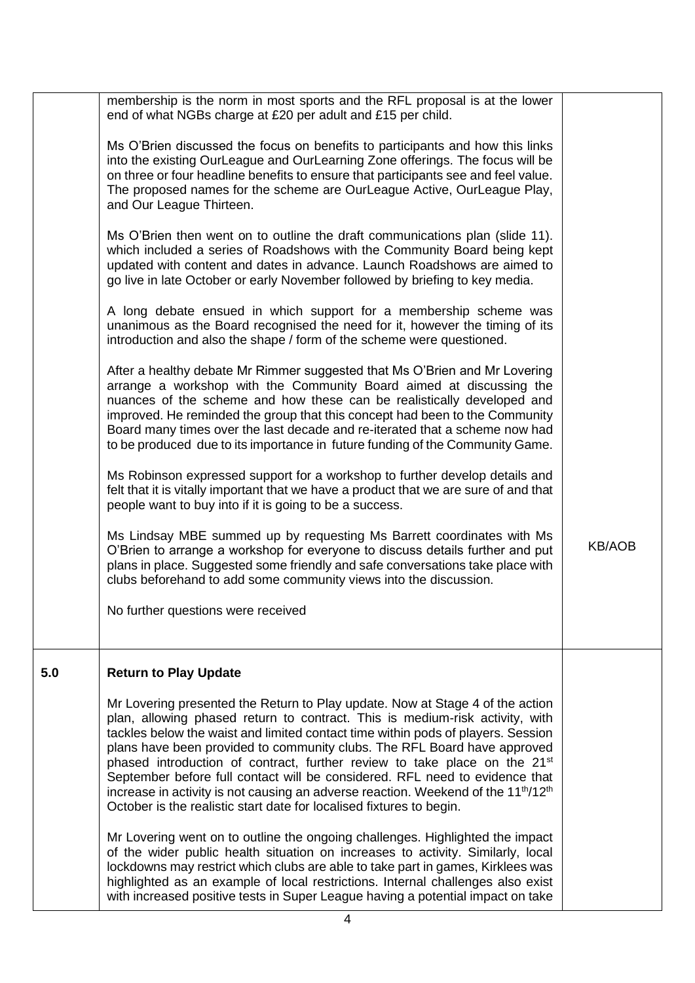|     | membership is the norm in most sports and the RFL proposal is at the lower<br>end of what NGBs charge at £20 per adult and £15 per child.                                                                                                                                                                                                                                                                                                                                                                                                                                                                                                                                                   |               |
|-----|---------------------------------------------------------------------------------------------------------------------------------------------------------------------------------------------------------------------------------------------------------------------------------------------------------------------------------------------------------------------------------------------------------------------------------------------------------------------------------------------------------------------------------------------------------------------------------------------------------------------------------------------------------------------------------------------|---------------|
|     | Ms O'Brien discussed the focus on benefits to participants and how this links<br>into the existing OurLeague and OurLearning Zone offerings. The focus will be<br>on three or four headline benefits to ensure that participants see and feel value.<br>The proposed names for the scheme are OurLeague Active, OurLeague Play,<br>and Our League Thirteen.                                                                                                                                                                                                                                                                                                                                 |               |
|     | Ms O'Brien then went on to outline the draft communications plan (slide 11).<br>which included a series of Roadshows with the Community Board being kept<br>updated with content and dates in advance. Launch Roadshows are aimed to<br>go live in late October or early November followed by briefing to key media.                                                                                                                                                                                                                                                                                                                                                                        |               |
|     | A long debate ensued in which support for a membership scheme was<br>unanimous as the Board recognised the need for it, however the timing of its<br>introduction and also the shape / form of the scheme were questioned.                                                                                                                                                                                                                                                                                                                                                                                                                                                                  |               |
|     | After a healthy debate Mr Rimmer suggested that Ms O'Brien and Mr Lovering<br>arrange a workshop with the Community Board aimed at discussing the<br>nuances of the scheme and how these can be realistically developed and<br>improved. He reminded the group that this concept had been to the Community<br>Board many times over the last decade and re-iterated that a scheme now had<br>to be produced due to its importance in future funding of the Community Game.                                                                                                                                                                                                                  |               |
|     | Ms Robinson expressed support for a workshop to further develop details and<br>felt that it is vitally important that we have a product that we are sure of and that<br>people want to buy into if it is going to be a success.                                                                                                                                                                                                                                                                                                                                                                                                                                                             |               |
|     | Ms Lindsay MBE summed up by requesting Ms Barrett coordinates with Ms<br>O'Brien to arrange a workshop for everyone to discuss details further and put<br>plans in place. Suggested some friendly and safe conversations take place with<br>clubs beforehand to add some community views into the discussion.                                                                                                                                                                                                                                                                                                                                                                               | <b>KB/AOB</b> |
|     | No further questions were received                                                                                                                                                                                                                                                                                                                                                                                                                                                                                                                                                                                                                                                          |               |
| 5.0 | <b>Return to Play Update</b>                                                                                                                                                                                                                                                                                                                                                                                                                                                                                                                                                                                                                                                                |               |
|     | Mr Lovering presented the Return to Play update. Now at Stage 4 of the action<br>plan, allowing phased return to contract. This is medium-risk activity, with<br>tackles below the waist and limited contact time within pods of players. Session<br>plans have been provided to community clubs. The RFL Board have approved<br>phased introduction of contract, further review to take place on the 21 <sup>st</sup><br>September before full contact will be considered. RFL need to evidence that<br>increase in activity is not causing an adverse reaction. Weekend of the 11 <sup>th</sup> /12 <sup>th</sup><br>October is the realistic start date for localised fixtures to begin. |               |
|     | Mr Lovering went on to outline the ongoing challenges. Highlighted the impact<br>of the wider public health situation on increases to activity. Similarly, local<br>lockdowns may restrict which clubs are able to take part in games, Kirklees was<br>highlighted as an example of local restrictions. Internal challenges also exist<br>with increased positive tests in Super League having a potential impact on take                                                                                                                                                                                                                                                                   |               |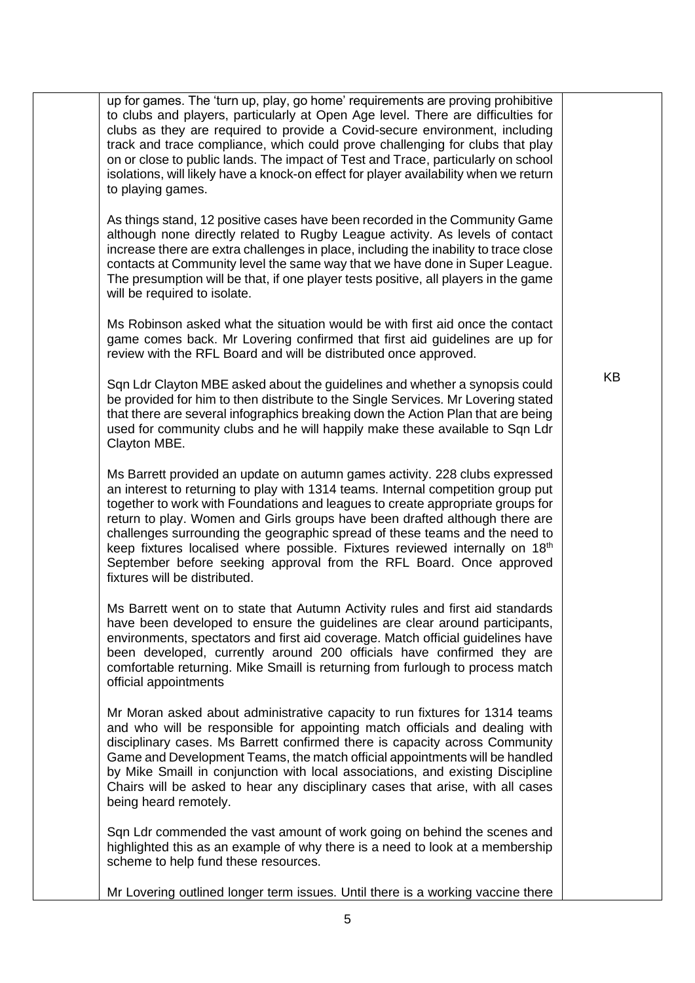| up for games. The 'turn up, play, go home' requirements are proving prohibitive<br>to clubs and players, particularly at Open Age level. There are difficulties for<br>clubs as they are required to provide a Covid-secure environment, including<br>track and trace compliance, which could prove challenging for clubs that play<br>on or close to public lands. The impact of Test and Trace, particularly on school<br>isolations, will likely have a knock-on effect for player availability when we return<br>to playing games.<br>As things stand, 12 positive cases have been recorded in the Community Game<br>although none directly related to Rugby League activity. As levels of contact<br>increase there are extra challenges in place, including the inability to trace close<br>contacts at Community level the same way that we have done in Super League.<br>The presumption will be that, if one player tests positive, all players in the game<br>will be required to isolate.<br>Ms Robinson asked what the situation would be with first aid once the contact<br>game comes back. Mr Lovering confirmed that first aid guidelines are up for<br>review with the RFL Board and will be distributed once approved.<br>Sqn Ldr Clayton MBE asked about the guidelines and whether a synopsis could<br>be provided for him to then distribute to the Single Services. Mr Lovering stated<br>that there are several infographics breaking down the Action Plan that are being<br>used for community clubs and he will happily make these available to Sqn Ldr<br>Clayton MBE.<br>Ms Barrett provided an update on autumn games activity. 228 clubs expressed<br>an interest to returning to play with 1314 teams. Internal competition group put<br>together to work with Foundations and leagues to create appropriate groups for<br>return to play. Women and Girls groups have been drafted although there are<br>challenges surrounding the geographic spread of these teams and the need to<br>keep fixtures localised where possible. Fixtures reviewed internally on 18 <sup>th</sup><br>September before seeking approval from the RFL Board. Once approved<br>fixtures will be distributed.<br>Ms Barrett went on to state that Autumn Activity rules and first aid standards<br>have been developed to ensure the guidelines are clear around participants,<br>environments, spectators and first aid coverage. Match official guidelines have<br>been developed, currently around 200 officials have confirmed they are<br>comfortable returning. Mike Smaill is returning from furlough to process match<br>official appointments<br>Mr Moran asked about administrative capacity to run fixtures for 1314 teams<br>and who will be responsible for appointing match officials and dealing with<br>disciplinary cases. Ms Barrett confirmed there is capacity across Community<br>Game and Development Teams, the match official appointments will be handled<br>by Mike Smaill in conjunction with local associations, and existing Discipline | <b>KB</b> |
|--------------------------------------------------------------------------------------------------------------------------------------------------------------------------------------------------------------------------------------------------------------------------------------------------------------------------------------------------------------------------------------------------------------------------------------------------------------------------------------------------------------------------------------------------------------------------------------------------------------------------------------------------------------------------------------------------------------------------------------------------------------------------------------------------------------------------------------------------------------------------------------------------------------------------------------------------------------------------------------------------------------------------------------------------------------------------------------------------------------------------------------------------------------------------------------------------------------------------------------------------------------------------------------------------------------------------------------------------------------------------------------------------------------------------------------------------------------------------------------------------------------------------------------------------------------------------------------------------------------------------------------------------------------------------------------------------------------------------------------------------------------------------------------------------------------------------------------------------------------------------------------------------------------------------------------------------------------------------------------------------------------------------------------------------------------------------------------------------------------------------------------------------------------------------------------------------------------------------------------------------------------------------------------------------------------------------------------------------------------------------------------------------------------------------------------------------------------------------------------------------------------------------------------------------------------------------------------------------------------------------------------------------------------------------------------------------------------------------------------------------------------------------------------------------------------------------------------------------------------------------------------------------------------------------------------------------------------------------------------------------------------------------------------------------------------------------------|-----------|
| Chairs will be asked to hear any disciplinary cases that arise, with all cases<br>being heard remotely.                                                                                                                                                                                                                                                                                                                                                                                                                                                                                                                                                                                                                                                                                                                                                                                                                                                                                                                                                                                                                                                                                                                                                                                                                                                                                                                                                                                                                                                                                                                                                                                                                                                                                                                                                                                                                                                                                                                                                                                                                                                                                                                                                                                                                                                                                                                                                                                                                                                                                                                                                                                                                                                                                                                                                                                                                                                                                                                                                                        |           |
| Sqn Ldr commended the vast amount of work going on behind the scenes and<br>highlighted this as an example of why there is a need to look at a membership<br>scheme to help fund these resources.                                                                                                                                                                                                                                                                                                                                                                                                                                                                                                                                                                                                                                                                                                                                                                                                                                                                                                                                                                                                                                                                                                                                                                                                                                                                                                                                                                                                                                                                                                                                                                                                                                                                                                                                                                                                                                                                                                                                                                                                                                                                                                                                                                                                                                                                                                                                                                                                                                                                                                                                                                                                                                                                                                                                                                                                                                                                              |           |
| Mr Lovering outlined longer term issues. Until there is a working vaccine there                                                                                                                                                                                                                                                                                                                                                                                                                                                                                                                                                                                                                                                                                                                                                                                                                                                                                                                                                                                                                                                                                                                                                                                                                                                                                                                                                                                                                                                                                                                                                                                                                                                                                                                                                                                                                                                                                                                                                                                                                                                                                                                                                                                                                                                                                                                                                                                                                                                                                                                                                                                                                                                                                                                                                                                                                                                                                                                                                                                                |           |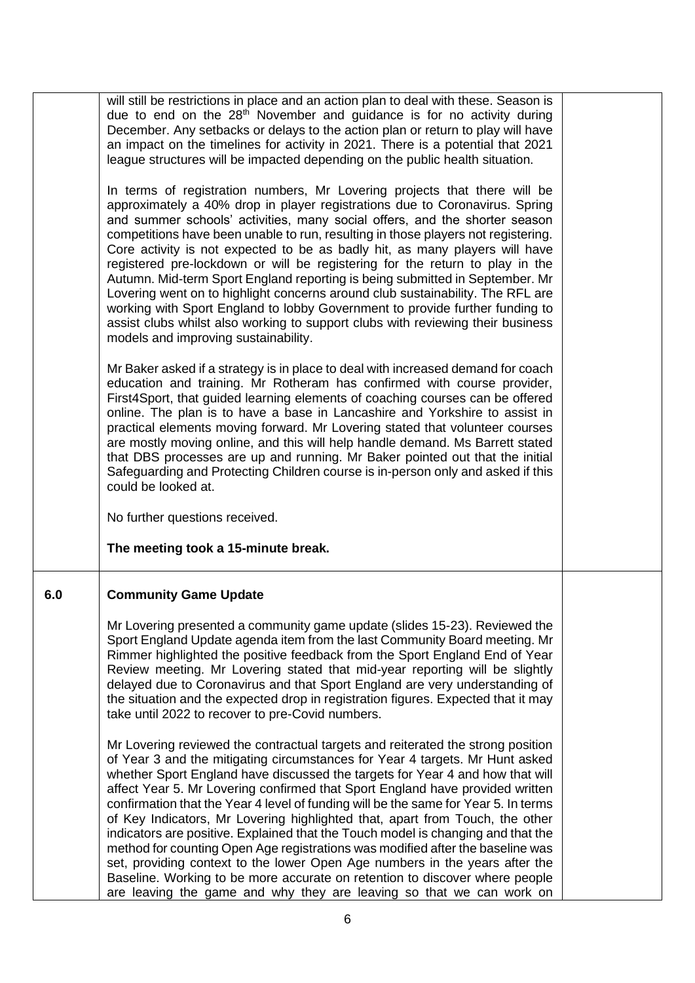|     | will still be restrictions in place and an action plan to deal with these. Season is<br>due to end on the 28 <sup>th</sup> November and guidance is for no activity during<br>December. Any setbacks or delays to the action plan or return to play will have<br>an impact on the timelines for activity in 2021. There is a potential that 2021<br>league structures will be impacted depending on the public health situation.                                                                                                                                                                                                                                                                                                                                                                                                                                                                                     |  |
|-----|----------------------------------------------------------------------------------------------------------------------------------------------------------------------------------------------------------------------------------------------------------------------------------------------------------------------------------------------------------------------------------------------------------------------------------------------------------------------------------------------------------------------------------------------------------------------------------------------------------------------------------------------------------------------------------------------------------------------------------------------------------------------------------------------------------------------------------------------------------------------------------------------------------------------|--|
|     | In terms of registration numbers, Mr Lovering projects that there will be<br>approximately a 40% drop in player registrations due to Coronavirus. Spring<br>and summer schools' activities, many social offers, and the shorter season<br>competitions have been unable to run, resulting in those players not registering.<br>Core activity is not expected to be as badly hit, as many players will have<br>registered pre-lockdown or will be registering for the return to play in the<br>Autumn. Mid-term Sport England reporting is being submitted in September. Mr<br>Lovering went on to highlight concerns around club sustainability. The RFL are<br>working with Sport England to lobby Government to provide further funding to<br>assist clubs whilst also working to support clubs with reviewing their business<br>models and improving sustainability.                                              |  |
|     | Mr Baker asked if a strategy is in place to deal with increased demand for coach<br>education and training. Mr Rotheram has confirmed with course provider,<br>First4Sport, that guided learning elements of coaching courses can be offered<br>online. The plan is to have a base in Lancashire and Yorkshire to assist in<br>practical elements moving forward. Mr Lovering stated that volunteer courses<br>are mostly moving online, and this will help handle demand. Ms Barrett stated<br>that DBS processes are up and running. Mr Baker pointed out that the initial<br>Safeguarding and Protecting Children course is in-person only and asked if this<br>could be looked at.<br>No further questions received.                                                                                                                                                                                             |  |
|     | The meeting took a 15-minute break.                                                                                                                                                                                                                                                                                                                                                                                                                                                                                                                                                                                                                                                                                                                                                                                                                                                                                  |  |
| 6.0 | <b>Community Game Update</b>                                                                                                                                                                                                                                                                                                                                                                                                                                                                                                                                                                                                                                                                                                                                                                                                                                                                                         |  |
|     | Mr Lovering presented a community game update (slides 15-23). Reviewed the<br>Sport England Update agenda item from the last Community Board meeting. Mr<br>Rimmer highlighted the positive feedback from the Sport England End of Year<br>Review meeting. Mr Lovering stated that mid-year reporting will be slightly<br>delayed due to Coronavirus and that Sport England are very understanding of<br>the situation and the expected drop in registration figures. Expected that it may<br>take until 2022 to recover to pre-Covid numbers.                                                                                                                                                                                                                                                                                                                                                                       |  |
|     | Mr Lovering reviewed the contractual targets and reiterated the strong position<br>of Year 3 and the mitigating circumstances for Year 4 targets. Mr Hunt asked<br>whether Sport England have discussed the targets for Year 4 and how that will<br>affect Year 5. Mr Lovering confirmed that Sport England have provided written<br>confirmation that the Year 4 level of funding will be the same for Year 5. In terms<br>of Key Indicators, Mr Lovering highlighted that, apart from Touch, the other<br>indicators are positive. Explained that the Touch model is changing and that the<br>method for counting Open Age registrations was modified after the baseline was<br>set, providing context to the lower Open Age numbers in the years after the<br>Baseline. Working to be more accurate on retention to discover where people<br>are leaving the game and why they are leaving so that we can work on |  |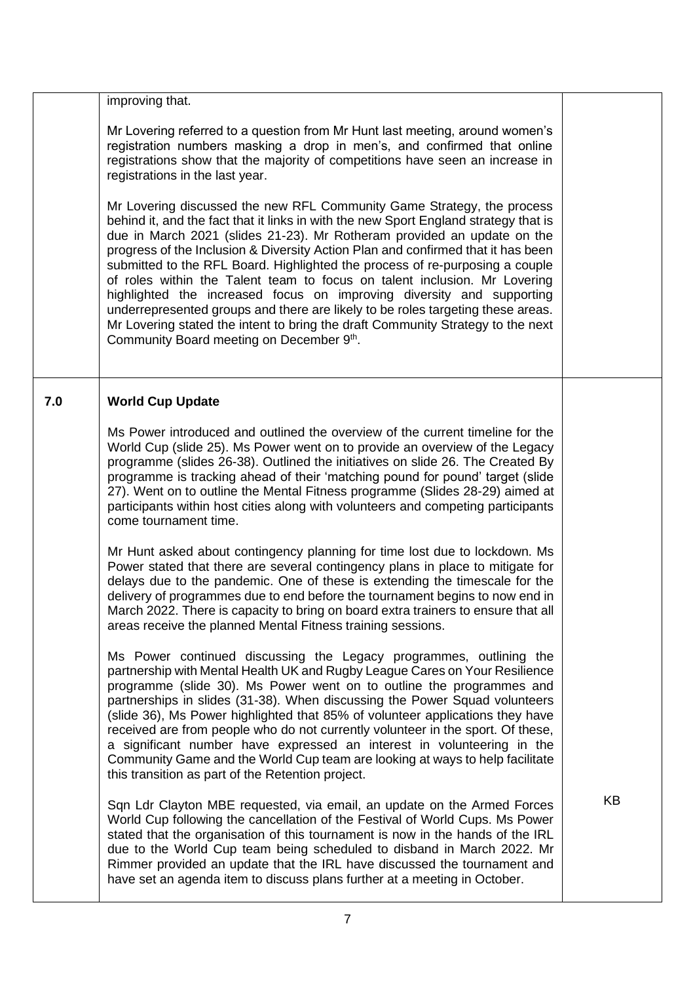|     | improving that.                                                                                                                                                                                                                                                                                                                                                                                                                                                                                                                                                                                                                                                                                                                                                                       |    |
|-----|---------------------------------------------------------------------------------------------------------------------------------------------------------------------------------------------------------------------------------------------------------------------------------------------------------------------------------------------------------------------------------------------------------------------------------------------------------------------------------------------------------------------------------------------------------------------------------------------------------------------------------------------------------------------------------------------------------------------------------------------------------------------------------------|----|
|     | Mr Lovering referred to a question from Mr Hunt last meeting, around women's<br>registration numbers masking a drop in men's, and confirmed that online<br>registrations show that the majority of competitions have seen an increase in<br>registrations in the last year.                                                                                                                                                                                                                                                                                                                                                                                                                                                                                                           |    |
|     | Mr Lovering discussed the new RFL Community Game Strategy, the process<br>behind it, and the fact that it links in with the new Sport England strategy that is<br>due in March 2021 (slides 21-23). Mr Rotheram provided an update on the<br>progress of the Inclusion & Diversity Action Plan and confirmed that it has been<br>submitted to the RFL Board. Highlighted the process of re-purposing a couple<br>of roles within the Talent team to focus on talent inclusion. Mr Lovering<br>highlighted the increased focus on improving diversity and supporting<br>underrepresented groups and there are likely to be roles targeting these areas.<br>Mr Lovering stated the intent to bring the draft Community Strategy to the next<br>Community Board meeting on December 9th. |    |
| 7.0 | <b>World Cup Update</b>                                                                                                                                                                                                                                                                                                                                                                                                                                                                                                                                                                                                                                                                                                                                                               |    |
|     | Ms Power introduced and outlined the overview of the current timeline for the<br>World Cup (slide 25). Ms Power went on to provide an overview of the Legacy<br>programme (slides 26-38). Outlined the initiatives on slide 26. The Created By<br>programme is tracking ahead of their 'matching pound for pound' target (slide<br>27). Went on to outline the Mental Fitness programme (Slides 28-29) aimed at<br>participants within host cities along with volunteers and competing participants<br>come tournament time.                                                                                                                                                                                                                                                          |    |
|     | Mr Hunt asked about contingency planning for time lost due to lockdown. Ms<br>Power stated that there are several contingency plans in place to mitigate for<br>delays due to the pandemic. One of these is extending the timescale for the<br>delivery of programmes due to end before the tournament begins to now end in<br>March 2022. There is capacity to bring on board extra trainers to ensure that all<br>areas receive the planned Mental Fitness training sessions.                                                                                                                                                                                                                                                                                                       |    |
|     | Ms Power continued discussing the Legacy programmes, outlining the<br>partnership with Mental Health UK and Rugby League Cares on Your Resilience<br>programme (slide 30). Ms Power went on to outline the programmes and<br>partnerships in slides (31-38). When discussing the Power Squad volunteers<br>(slide 36), Ms Power highlighted that 85% of volunteer applications they have<br>received are from people who do not currently volunteer in the sport. Of these,<br>a significant number have expressed an interest in volunteering in the<br>Community Game and the World Cup team are looking at ways to help facilitate<br>this transition as part of the Retention project.                                                                                            |    |
|     | Sqn Ldr Clayton MBE requested, via email, an update on the Armed Forces<br>World Cup following the cancellation of the Festival of World Cups. Ms Power<br>stated that the organisation of this tournament is now in the hands of the IRL<br>due to the World Cup team being scheduled to disband in March 2022. Mr<br>Rimmer provided an update that the IRL have discussed the tournament and<br>have set an agenda item to discuss plans further at a meeting in October.                                                                                                                                                                                                                                                                                                          | KB |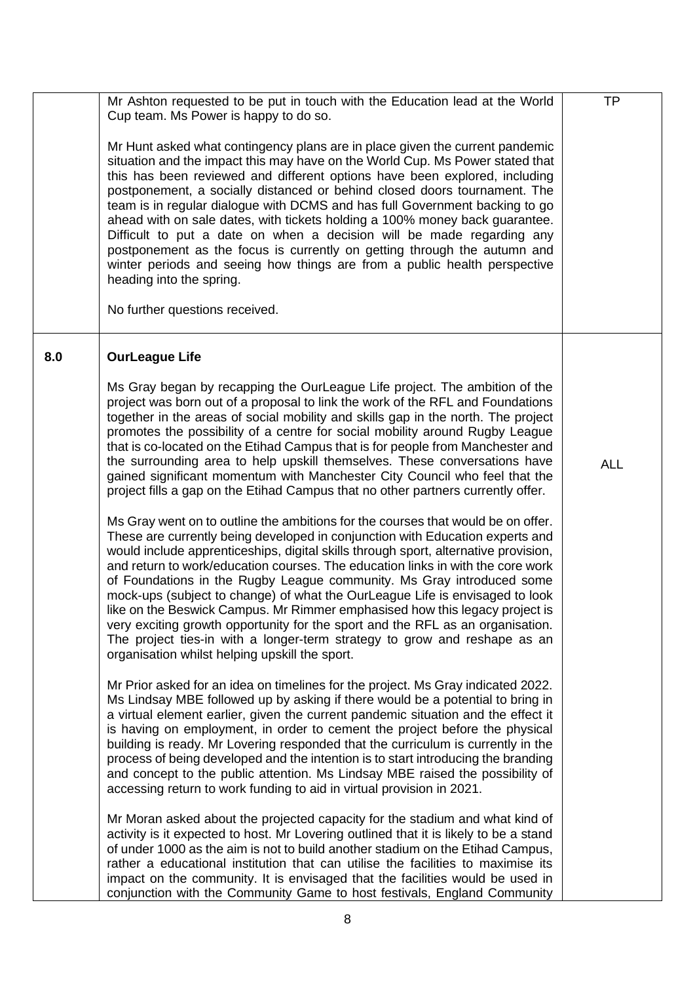|     | Mr Ashton requested to be put in touch with the Education lead at the World<br>Cup team. Ms Power is happy to do so.                                                                                                                                                                                                                                                                                                                                                                                                                                                                                                                                                                                                                                                                                 | <b>TP</b>  |
|-----|------------------------------------------------------------------------------------------------------------------------------------------------------------------------------------------------------------------------------------------------------------------------------------------------------------------------------------------------------------------------------------------------------------------------------------------------------------------------------------------------------------------------------------------------------------------------------------------------------------------------------------------------------------------------------------------------------------------------------------------------------------------------------------------------------|------------|
|     | Mr Hunt asked what contingency plans are in place given the current pandemic<br>situation and the impact this may have on the World Cup. Ms Power stated that<br>this has been reviewed and different options have been explored, including<br>postponement, a socially distanced or behind closed doors tournament. The<br>team is in regular dialogue with DCMS and has full Government backing to go<br>ahead with on sale dates, with tickets holding a 100% money back guarantee.<br>Difficult to put a date on when a decision will be made regarding any<br>postponement as the focus is currently on getting through the autumn and<br>winter periods and seeing how things are from a public health perspective<br>heading into the spring.<br>No further questions received.               |            |
| 8.0 | <b>OurLeague Life</b>                                                                                                                                                                                                                                                                                                                                                                                                                                                                                                                                                                                                                                                                                                                                                                                |            |
|     | Ms Gray began by recapping the OurLeague Life project. The ambition of the<br>project was born out of a proposal to link the work of the RFL and Foundations<br>together in the areas of social mobility and skills gap in the north. The project<br>promotes the possibility of a centre for social mobility around Rugby League<br>that is co-located on the Etihad Campus that is for people from Manchester and<br>the surrounding area to help upskill themselves. These conversations have<br>gained significant momentum with Manchester City Council who feel that the<br>project fills a gap on the Etihad Campus that no other partners currently offer.                                                                                                                                   | <b>ALL</b> |
|     | Ms Gray went on to outline the ambitions for the courses that would be on offer.<br>These are currently being developed in conjunction with Education experts and<br>would include apprenticeships, digital skills through sport, alternative provision,<br>and return to work/education courses. The education links in with the core work<br>of Foundations in the Rugby League community. Ms Gray introduced some<br>mock-ups (subject to change) of what the OurLeague Life is envisaged to look<br>like on the Beswick Campus. Mr Rimmer emphasised how this legacy project is<br>very exciting growth opportunity for the sport and the RFL as an organisation.<br>The project ties-in with a longer-term strategy to grow and reshape as an<br>organisation whilst helping upskill the sport. |            |
|     | Mr Prior asked for an idea on timelines for the project. Ms Gray indicated 2022.<br>Ms Lindsay MBE followed up by asking if there would be a potential to bring in<br>a virtual element earlier, given the current pandemic situation and the effect it<br>is having on employment, in order to cement the project before the physical<br>building is ready. Mr Lovering responded that the curriculum is currently in the<br>process of being developed and the intention is to start introducing the branding<br>and concept to the public attention. Ms Lindsay MBE raised the possibility of<br>accessing return to work funding to aid in virtual provision in 2021.                                                                                                                            |            |
|     | Mr Moran asked about the projected capacity for the stadium and what kind of<br>activity is it expected to host. Mr Lovering outlined that it is likely to be a stand<br>of under 1000 as the aim is not to build another stadium on the Etihad Campus,<br>rather a educational institution that can utilise the facilities to maximise its<br>impact on the community. It is envisaged that the facilities would be used in<br>conjunction with the Community Game to host festivals, England Community                                                                                                                                                                                                                                                                                             |            |